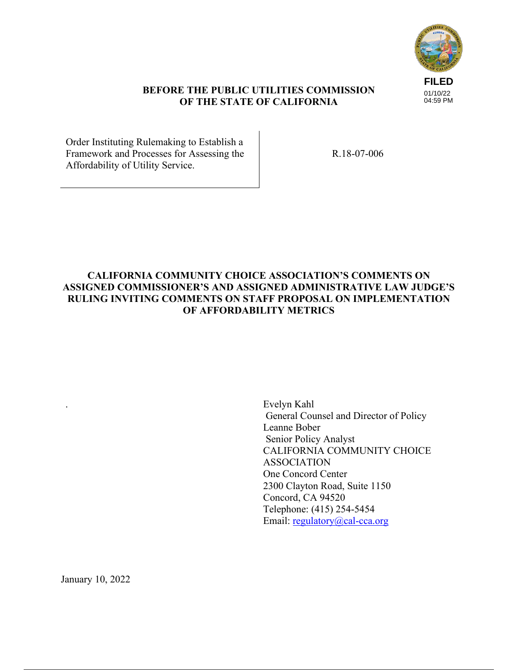

## **BEFORE THE PUBLIC UTILITIES COMMISSION OF THE STATE OF CALIFORNIA**

Order Instituting Rulemaking to Establish a Framework and Processes for Assessing the Affordability of Utility Service.

R.18-07-006

## **CALIFORNIA COMMUNITY CHOICE ASSOCIATION'S COMMENTS ON ASSIGNED COMMISSIONER'S AND ASSIGNED ADMINISTRATIVE LAW JUDGE'S RULING INVITING COMMENTS ON STAFF PROPOSAL ON IMPLEMENTATION OF AFFORDABILITY METRICS**

. Evelyn Kahl General Counsel and Director of Policy Leanne Bober Senior Policy Analyst CALIFORNIA COMMUNITY CHOICE ASSOCIATION One Concord Center 2300 Clayton Road, Suite 1150 Concord, CA 94520 Telephone: (415) 254-5454 Email: regulatory@cal-cca.org

January 10, 2022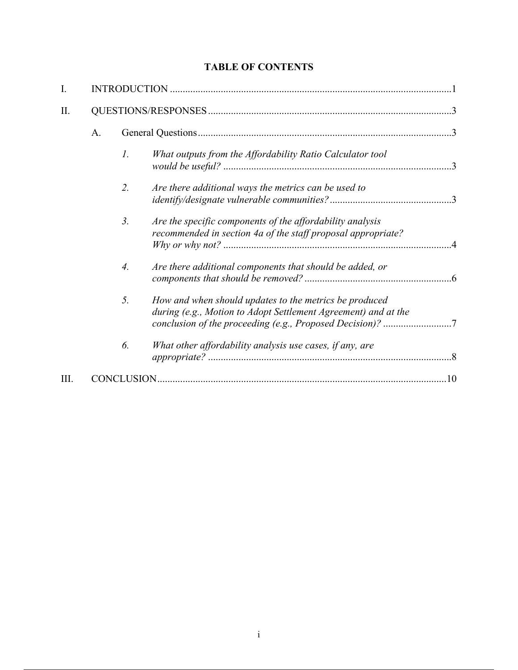# **TABLE OF CONTENTS**

| I.   |    |                  |                                                                                                                                                                                       |  |
|------|----|------------------|---------------------------------------------------------------------------------------------------------------------------------------------------------------------------------------|--|
| Π.   |    |                  |                                                                                                                                                                                       |  |
|      | A. |                  |                                                                                                                                                                                       |  |
|      |    | $\mathfrak{1}.$  | What outputs from the Affordability Ratio Calculator tool                                                                                                                             |  |
|      |    | 2.               | Are there additional ways the metrics can be used to                                                                                                                                  |  |
|      |    | $\mathfrak{Z}$ . | Are the specific components of the affordability analysis<br>recommended in section 4a of the staff proposal appropriate?                                                             |  |
|      |    | $\overline{4}$ . | Are there additional components that should be added, or                                                                                                                              |  |
|      |    | 5.               | How and when should updates to the metrics be produced<br>during (e.g., Motion to Adopt Settlement Agreement) and at the<br>conclusion of the proceeding (e.g., Proposed Decision)? 7 |  |
|      |    | 6.               | What other affordability analysis use cases, if any, are                                                                                                                              |  |
| III. |    |                  |                                                                                                                                                                                       |  |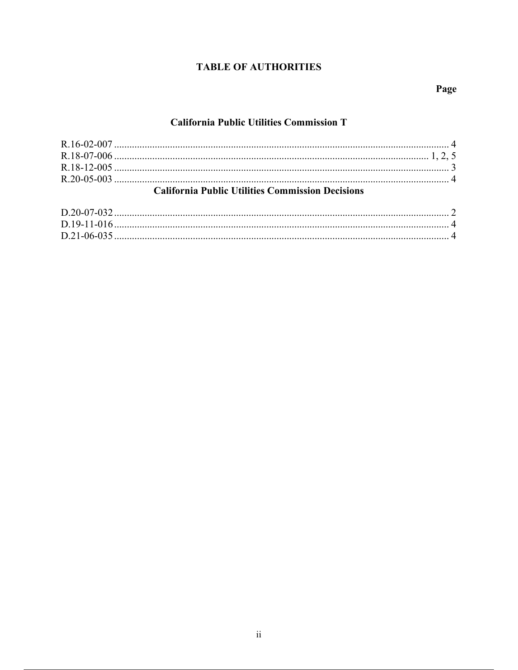# **TABLE OF AUTHORITIES**

# Page

## **California Public Utilities Commission T**

| <b>California Public Utilities Commission Decisions</b> |  |  |  |  |
|---------------------------------------------------------|--|--|--|--|
|                                                         |  |  |  |  |
|                                                         |  |  |  |  |
|                                                         |  |  |  |  |
|                                                         |  |  |  |  |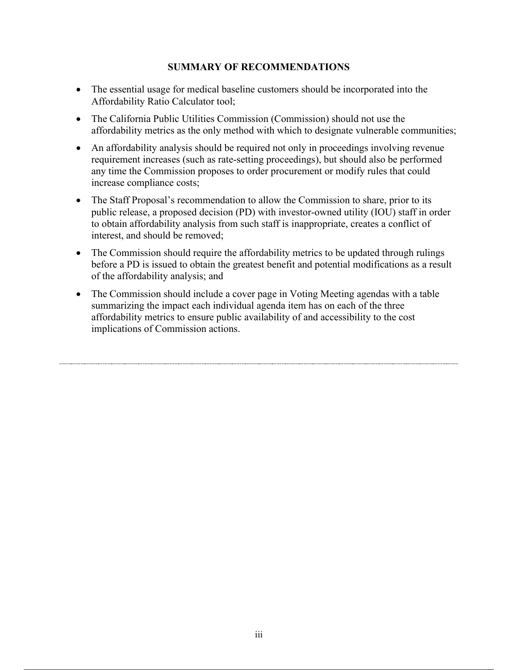## **SUMMARY OF RECOMMENDATIONS**

- The essential usage for medical baseline customers should be incorporated into the Affordability Ratio Calculator tool;
- The California Public Utilities Commission (Commission) should not use the affordability metrics as the only method with which to designate vulnerable communities;
- An affordability analysis should be required not only in proceedings involving revenue requirement increases (such as rate-setting proceedings), but should also be performed any time the Commission proposes to order procurement or modify rules that could increase compliance costs;
- The Staff Proposal's recommendation to allow the Commission to share, prior to its public release, a proposed decision (PD) with investor-owned utility (IOU) staff in order to obtain affordability analysis from such staff is inappropriate, creates a conflict of interest, and should be removed;
- The Commission should require the affordability metrics to be updated through rulings before a PD is issued to obtain the greatest benefit and potential modifications as a result of the affordability analysis; and
- The Commission should include a cover page in Voting Meeting agendas with a table summarizing the impact each individual agenda item has on each of the three affordability metrics to ensure public availability of and accessibility to the cost implications of Commission actions.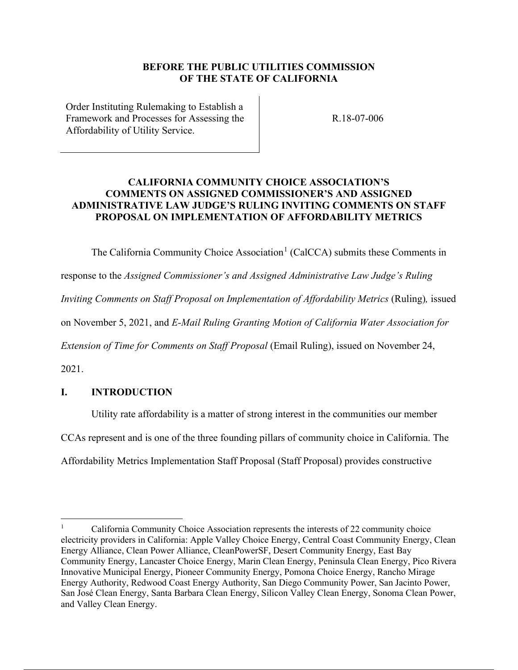## **BEFORE THE PUBLIC UTILITIES COMMISSION OF THE STATE OF CALIFORNIA**

Order Instituting Rulemaking to Establish a Framework and Processes for Assessing the Affordability of Utility Service.

R.18-07-006

## **CALIFORNIA COMMUNITY CHOICE ASSOCIATION'S COMMENTS ON ASSIGNED COMMISSIONER'S AND ASSIGNED ADMINISTRATIVE LAW JUDGE'S RULING INVITING COMMENTS ON STAFF PROPOSAL ON IMPLEMENTATION OF AFFORDABILITY METRICS**

The California Community Choice Association<sup>1</sup> (CalCCA) submits these Comments in

response to the *Assigned Commissioner's and Assigned Administrative Law Judge's Ruling* 

*Inviting Comments on Staff Proposal on Implementation of Affordability Metrics (Ruling), issued* 

on November 5, 2021, and *E-Mail Ruling Granting Motion of California Water Association for* 

*Extension of Time for Comments on Staff Proposal (Email Ruling)*, issued on November 24,

2021.

## **I. INTRODUCTION**

Utility rate affordability is a matter of strong interest in the communities our member CCAs represent and is one of the three founding pillars of community choice in California. The

Affordability Metrics Implementation Staff Proposal (Staff Proposal) provides constructive

<sup>1</sup> California Community Choice Association represents the interests of 22 community choice electricity providers in California: Apple Valley Choice Energy, Central Coast Community Energy, Clean Energy Alliance, Clean Power Alliance, CleanPowerSF, Desert Community Energy, East Bay Community Energy, Lancaster Choice Energy, Marin Clean Energy, Peninsula Clean Energy, Pico Rivera Innovative Municipal Energy, Pioneer Community Energy, Pomona Choice Energy, Rancho Mirage Energy Authority, Redwood Coast Energy Authority, San Diego Community Power, San Jacinto Power, San José Clean Energy, Santa Barbara Clean Energy, Silicon Valley Clean Energy, Sonoma Clean Power, and Valley Clean Energy.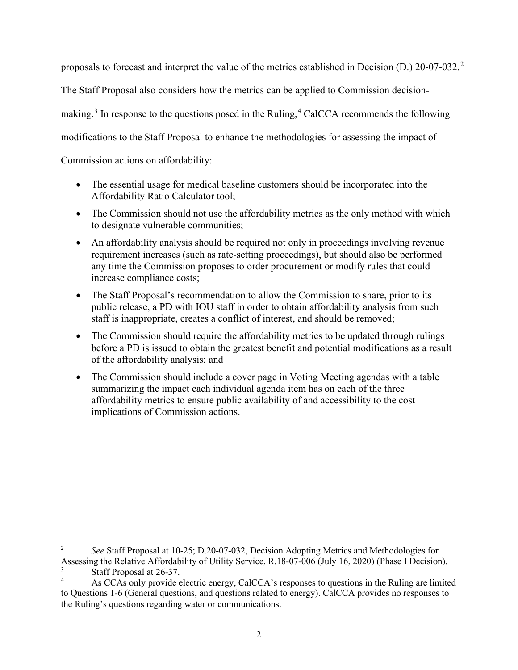proposals to forecast and interpret the value of the metrics established in Decision (D.) 20-07-032.<sup>2</sup> The Staff Proposal also considers how the metrics can be applied to Commission decisionmaking.<sup>3</sup> In response to the questions posed in the Ruling,<sup>4</sup> CalCCA recommends the following modifications to the Staff Proposal to enhance the methodologies for assessing the impact of Commission actions on affordability:

- The essential usage for medical baseline customers should be incorporated into the Affordability Ratio Calculator tool;
- The Commission should not use the affordability metrics as the only method with which to designate vulnerable communities;
- An affordability analysis should be required not only in proceedings involving revenue requirement increases (such as rate-setting proceedings), but should also be performed any time the Commission proposes to order procurement or modify rules that could increase compliance costs;
- The Staff Proposal's recommendation to allow the Commission to share, prior to its public release, a PD with IOU staff in order to obtain affordability analysis from such staff is inappropriate, creates a conflict of interest, and should be removed;
- The Commission should require the affordability metrics to be updated through rulings before a PD is issued to obtain the greatest benefit and potential modifications as a result of the affordability analysis; and
- The Commission should include a cover page in Voting Meeting agendas with a table summarizing the impact each individual agenda item has on each of the three affordability metrics to ensure public availability of and accessibility to the cost implications of Commission actions.

 $\overline{2}$  *See* Staff Proposal at 10-25; D.20-07-032, Decision Adopting Metrics and Methodologies for Assessing the Relative Affordability of Utility Service, R.18-07-006 (July 16, 2020) (Phase I Decision).

<sup>3</sup> Staff Proposal at 26-37.

<sup>4</sup> As CCAs only provide electric energy, CalCCA's responses to questions in the Ruling are limited to Questions 1-6 (General questions, and questions related to energy). CalCCA provides no responses to the Ruling's questions regarding water or communications.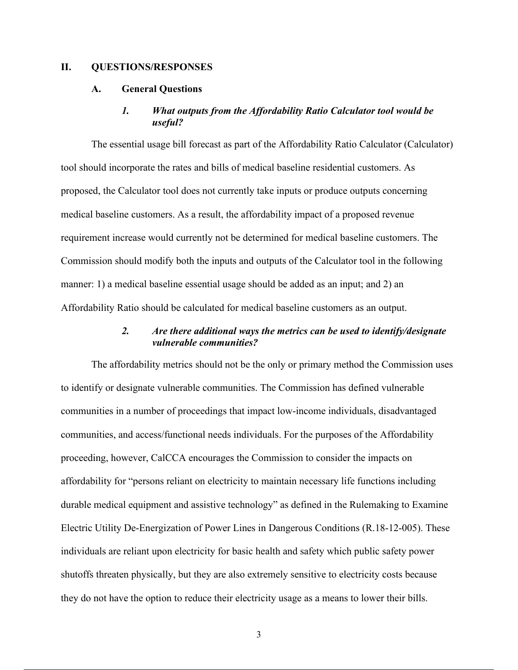#### **II. QUESTIONS/RESPONSES**

#### **A. General Questions**

#### *1. What outputs from the Affordability Ratio Calculator tool would be useful?*

The essential usage bill forecast as part of the Affordability Ratio Calculator (Calculator) tool should incorporate the rates and bills of medical baseline residential customers. As proposed, the Calculator tool does not currently take inputs or produce outputs concerning medical baseline customers. As a result, the affordability impact of a proposed revenue requirement increase would currently not be determined for medical baseline customers. The Commission should modify both the inputs and outputs of the Calculator tool in the following manner: 1) a medical baseline essential usage should be added as an input; and 2) an Affordability Ratio should be calculated for medical baseline customers as an output.

#### *2. Are there additional ways the metrics can be used to identify/designate vulnerable communities?*

The affordability metrics should not be the only or primary method the Commission uses to identify or designate vulnerable communities. The Commission has defined vulnerable communities in a number of proceedings that impact low-income individuals, disadvantaged communities, and access/functional needs individuals. For the purposes of the Affordability proceeding, however, CalCCA encourages the Commission to consider the impacts on affordability for "persons reliant on electricity to maintain necessary life functions including durable medical equipment and assistive technology" as defined in the Rulemaking to Examine Electric Utility De-Energization of Power Lines in Dangerous Conditions (R.18-12-005). These individuals are reliant upon electricity for basic health and safety which public safety power shutoffs threaten physically, but they are also extremely sensitive to electricity costs because they do not have the option to reduce their electricity usage as a means to lower their bills.

3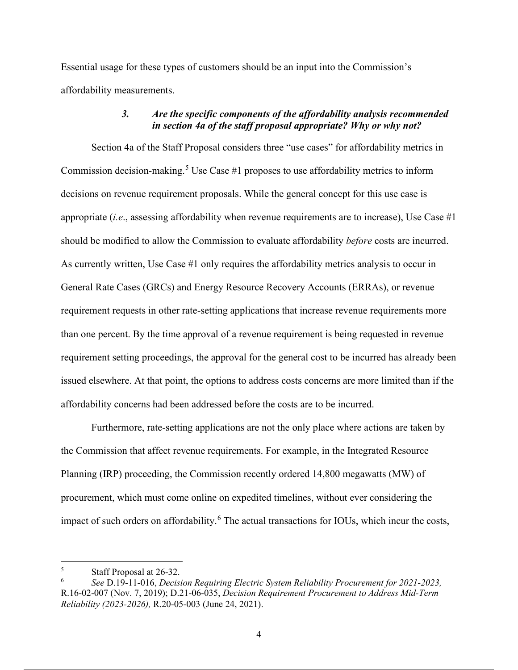Essential usage for these types of customers should be an input into the Commission's affordability measurements.

### *3. Are the specific components of the affordability analysis recommended in section 4a of the staff proposal appropriate? Why or why not?*

Section 4a of the Staff Proposal considers three "use cases" for affordability metrics in Commission decision-making.<sup>5</sup> Use Case #1 proposes to use affordability metrics to inform decisions on revenue requirement proposals. While the general concept for this use case is appropriate (*i.e*., assessing affordability when revenue requirements are to increase), Use Case #1 should be modified to allow the Commission to evaluate affordability *before* costs are incurred. As currently written, Use Case #1 only requires the affordability metrics analysis to occur in General Rate Cases (GRCs) and Energy Resource Recovery Accounts (ERRAs), or revenue requirement requests in other rate-setting applications that increase revenue requirements more than one percent. By the time approval of a revenue requirement is being requested in revenue requirement setting proceedings, the approval for the general cost to be incurred has already been issued elsewhere. At that point, the options to address costs concerns are more limited than if the affordability concerns had been addressed before the costs are to be incurred.

Furthermore, rate-setting applications are not the only place where actions are taken by the Commission that affect revenue requirements. For example, in the Integrated Resource Planning (IRP) proceeding, the Commission recently ordered 14,800 megawatts (MW) of procurement, which must come online on expedited timelines, without ever considering the impact of such orders on affordability.<sup>6</sup> The actual transactions for IOUs, which incur the costs,

<sup>5</sup> Staff Proposal at 26-32.

<sup>6</sup> *See* D.19-11-016, *Decision Requiring Electric System Reliability Procurement for 2021-2023,* R.16-02-007 (Nov. 7, 2019); D.21-06-035, *Decision Requirement Procurement to Address Mid-Term Reliability (2023-2026),* R.20-05-003 (June 24, 2021).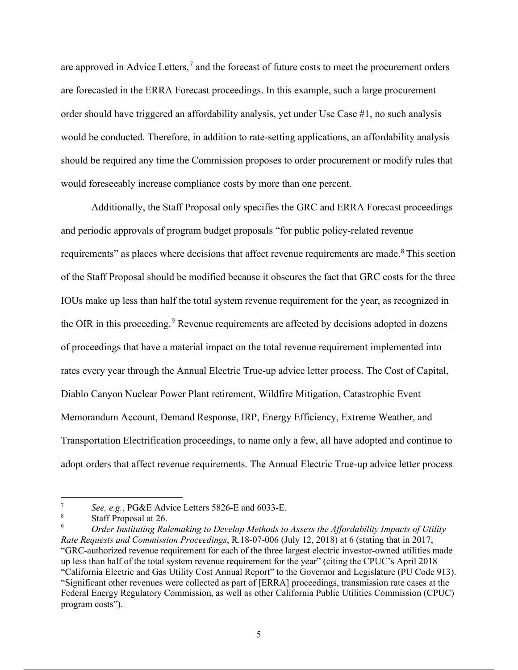are approved in Advice Letters,<sup>7</sup> and the forecast of future costs to meet the procurement orders are forecasted in the ERRA Forecast proceedings. In this example, such a large procurement order should have triggered an affordability analysis, yet under Use Case #1, no such analysis would be conducted. Therefore, in addition to rate-setting applications, an affordability analysis should be required any time the Commission proposes to order procurement or modify rules that would foreseeably increase compliance costs by more than one percent.

Additionally, the Staff Proposal only specifies the GRC and ERRA Forecast proceedings and periodic approvals of program budget proposals "for public policy-related revenue requirements" as places where decisions that affect revenue requirements are made.<sup>8</sup> This section of the Staff Proposal should be modified because it obscures the fact that GRC costs for the three IOUs make up less than half the total system revenue requirement for the year, as recognized in the OIR in this proceeding.<sup>9</sup> Revenue requirements are affected by decisions adopted in dozens of proceedings that have a material impact on the total revenue requirement implemented into rates every year through the Annual Electric True-up advice letter process. The Cost of Capital, Diablo Canyon Nuclear Power Plant retirement, Wildfire Mitigation, Catastrophic Event Memorandum Account, Demand Response, IRP, Energy Efficiency, Extreme Weather, and Transportation Electrification proceedings, to name only a few, all have adopted and continue to adopt orders that affect revenue requirements. The Annual Electric True-up advice letter process

<sup>7</sup> *See, e.g.*, PG&E Advice Letters 5826-E and 6033-E.

<sup>8</sup> Staff Proposal at 26.

<sup>9</sup> *Order Instituting Rulemaking to Develop Methods to Assess the Affordability Impacts of Utility Rate Requests and Commission Proceedings*, R.18-07-006 (July 12, 2018) at 6 (stating that in 2017, "GRC-authorized revenue requirement for each of the three largest electric investor-owned utilities made up less than half of the total system revenue requirement for the year" (citing the CPUC's April 2018 "California Electric and Gas Utility Cost Annual Report" to the Governor and Legislature (PU Code 913). "Significant other revenues were collected as part of [ERRA] proceedings, transmission rate cases at the Federal Energy Regulatory Commission, as well as other California Public Utilities Commission (CPUC) program costs").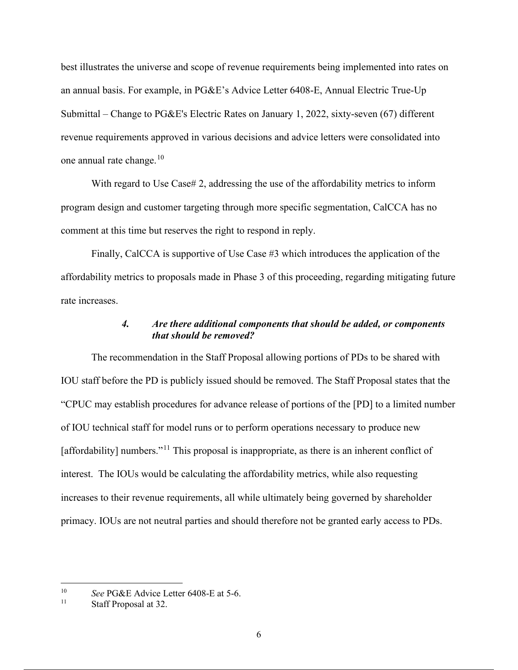best illustrates the universe and scope of revenue requirements being implemented into rates on an annual basis. For example, in PG&E's Advice Letter 6408-E, Annual Electric True-Up Submittal – Change to PG&E's Electric Rates on January 1, 2022, sixty-seven (67) different revenue requirements approved in various decisions and advice letters were consolidated into one annual rate change. $10$ 

With regard to Use Case# 2, addressing the use of the affordability metrics to inform program design and customer targeting through more specific segmentation, CalCCA has no comment at this time but reserves the right to respond in reply.

Finally, CalCCA is supportive of Use Case #3 which introduces the application of the affordability metrics to proposals made in Phase 3 of this proceeding, regarding mitigating future rate increases.

### *4. Are there additional components that should be added, or components that should be removed?*

The recommendation in the Staff Proposal allowing portions of PDs to be shared with IOU staff before the PD is publicly issued should be removed. The Staff Proposal states that the "CPUC may establish procedures for advance release of portions of the [PD] to a limited number of IOU technical staff for model runs or to perform operations necessary to produce new [affordability] numbers."<sup>11</sup> This proposal is inappropriate, as there is an inherent conflict of interest. The IOUs would be calculating the affordability metrics, while also requesting increases to their revenue requirements, all while ultimately being governed by shareholder primacy. IOUs are not neutral parties and should therefore not be granted early access to PDs.

<sup>&</sup>lt;sup>10</sup> *See* PG&E Advice Letter 6408-E at 5-6.

Staff Proposal at 32.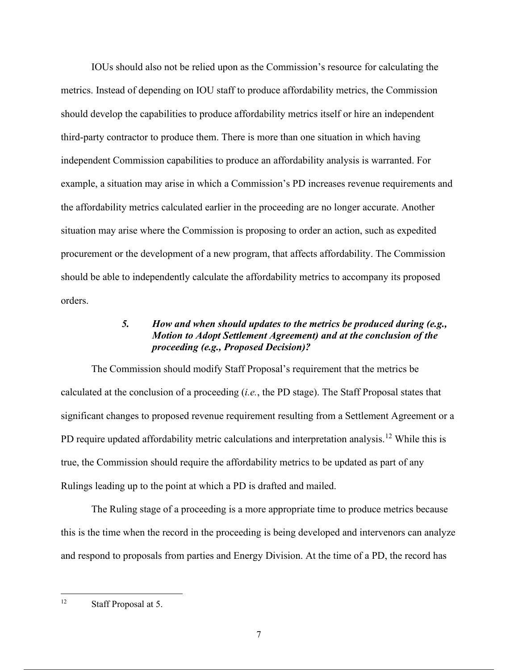IOUs should also not be relied upon as the Commission's resource for calculating the metrics. Instead of depending on IOU staff to produce affordability metrics, the Commission should develop the capabilities to produce affordability metrics itself or hire an independent third-party contractor to produce them. There is more than one situation in which having independent Commission capabilities to produce an affordability analysis is warranted. For example, a situation may arise in which a Commission's PD increases revenue requirements and the affordability metrics calculated earlier in the proceeding are no longer accurate. Another situation may arise where the Commission is proposing to order an action, such as expedited procurement or the development of a new program, that affects affordability. The Commission should be able to independently calculate the affordability metrics to accompany its proposed orders.

## *5. How and when should updates to the metrics be produced during (e.g., Motion to Adopt Settlement Agreement) and at the conclusion of the proceeding (e.g., Proposed Decision)?*

The Commission should modify Staff Proposal's requirement that the metrics be calculated at the conclusion of a proceeding (*i.e.*, the PD stage). The Staff Proposal states that significant changes to proposed revenue requirement resulting from a Settlement Agreement or a PD require updated affordability metric calculations and interpretation analysis.<sup>12</sup> While this is true, the Commission should require the affordability metrics to be updated as part of any Rulings leading up to the point at which a PD is drafted and mailed.

The Ruling stage of a proceeding is a more appropriate time to produce metrics because this is the time when the record in the proceeding is being developed and intervenors can analyze and respond to proposals from parties and Energy Division. At the time of a PD, the record has

<sup>12</sup> Staff Proposal at 5.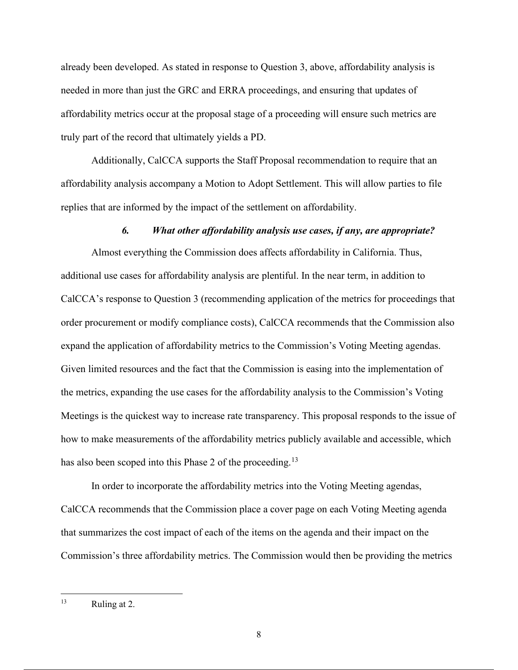already been developed. As stated in response to Question 3, above, affordability analysis is needed in more than just the GRC and ERRA proceedings, and ensuring that updates of affordability metrics occur at the proposal stage of a proceeding will ensure such metrics are truly part of the record that ultimately yields a PD.

Additionally, CalCCA supports the Staff Proposal recommendation to require that an affordability analysis accompany a Motion to Adopt Settlement. This will allow parties to file replies that are informed by the impact of the settlement on affordability.

#### *6. What other affordability analysis use cases, if any, are appropriate?*

Almost everything the Commission does affects affordability in California. Thus, additional use cases for affordability analysis are plentiful. In the near term, in addition to CalCCA's response to Question 3 (recommending application of the metrics for proceedings that order procurement or modify compliance costs), CalCCA recommends that the Commission also expand the application of affordability metrics to the Commission's Voting Meeting agendas. Given limited resources and the fact that the Commission is easing into the implementation of the metrics, expanding the use cases for the affordability analysis to the Commission's Voting Meetings is the quickest way to increase rate transparency. This proposal responds to the issue of how to make measurements of the affordability metrics publicly available and accessible, which has also been scoped into this Phase 2 of the proceeding.<sup>13</sup>

In order to incorporate the affordability metrics into the Voting Meeting agendas, CalCCA recommends that the Commission place a cover page on each Voting Meeting agenda that summarizes the cost impact of each of the items on the agenda and their impact on the Commission's three affordability metrics. The Commission would then be providing the metrics

<sup>&</sup>lt;sup>13</sup> Ruling at 2.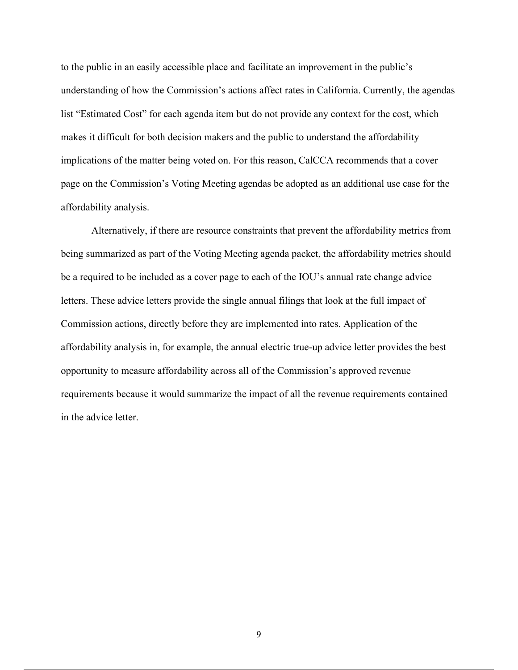to the public in an easily accessible place and facilitate an improvement in the public's understanding of how the Commission's actions affect rates in California. Currently, the agendas list "Estimated Cost" for each agenda item but do not provide any context for the cost, which makes it difficult for both decision makers and the public to understand the affordability implications of the matter being voted on. For this reason, CalCCA recommends that a cover page on the Commission's Voting Meeting agendas be adopted as an additional use case for the affordability analysis.

Alternatively, if there are resource constraints that prevent the affordability metrics from being summarized as part of the Voting Meeting agenda packet, the affordability metrics should be a required to be included as a cover page to each of the IOU's annual rate change advice letters. These advice letters provide the single annual filings that look at the full impact of Commission actions, directly before they are implemented into rates. Application of the affordability analysis in, for example, the annual electric true-up advice letter provides the best opportunity to measure affordability across all of the Commission's approved revenue requirements because it would summarize the impact of all the revenue requirements contained in the advice letter.